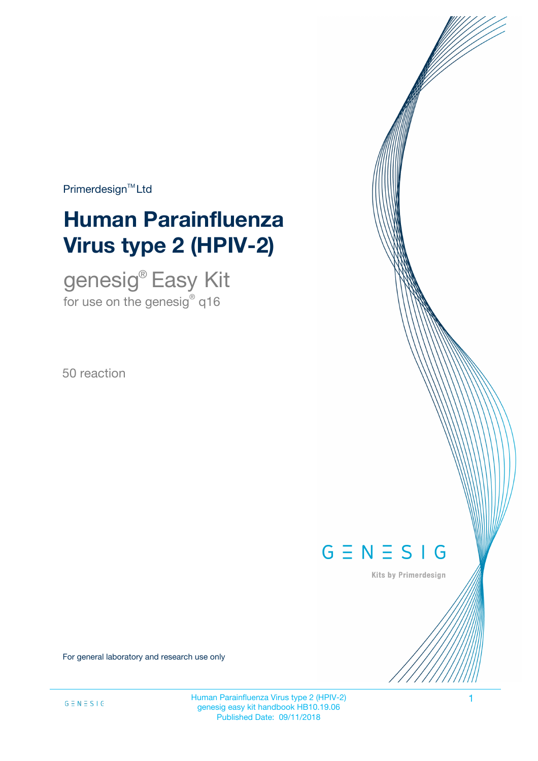Primerdesign<sup>™</sup>Ltd

# **Human Parainfluenza Virus type 2 (HPIV-2)**

genesig® Easy Kit for use on the genesig $^\circ$  q16

50 reaction



Kits by Primerdesign

For general laboratory and research use only

Human Parainfluenza Virus type 2 (HPIV-2) 1 genesig easy kit handbook HB10.19.06 Published Date: 09/11/2018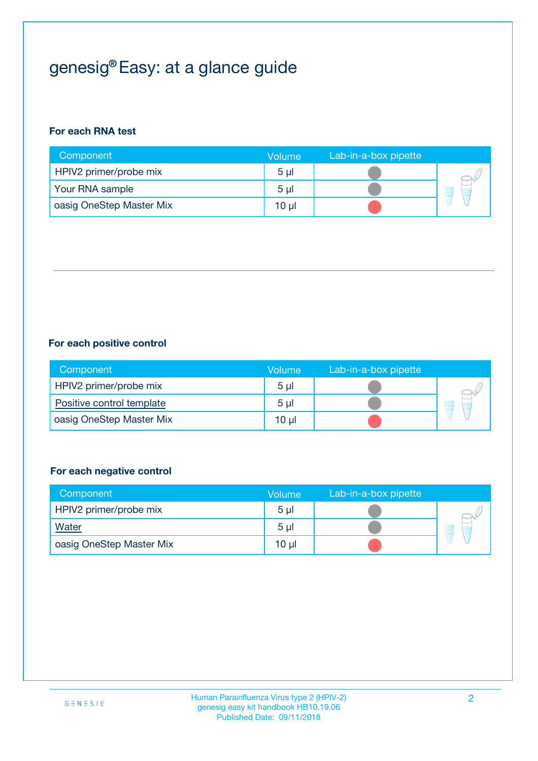## genesig® Easy: at a glance guide

#### **For each RNA test**

| Component                | <b>Volume</b>  | Lab-in-a-box pipette |  |
|--------------------------|----------------|----------------------|--|
| HPIV2 primer/probe mix   | 5 <sub>µ</sub> |                      |  |
| Your RNA sample          | 5 <sub>µ</sub> |                      |  |
| oasig OneStep Master Mix | 10 µl          |                      |  |

#### **For each positive control**

| Component                 | Volume         | Lab-in-a-box pipette |  |
|---------------------------|----------------|----------------------|--|
| HPIV2 primer/probe mix    | 5 <sub>µ</sub> |                      |  |
| Positive control template | 5 <sub>µ</sub> |                      |  |
| oasig OneStep Master Mix  | 10 µl          |                      |  |

#### **For each negative control**

| Component                | <b>Volume</b>  | Lab-in-a-box pipette |   |
|--------------------------|----------------|----------------------|---|
| HPIV2 primer/probe mix   | 5 <sub>µ</sub> |                      |   |
| <b>Water</b>             | 5 <sub>µ</sub> |                      | E |
| oasig OneStep Master Mix | $10 \mu$       |                      |   |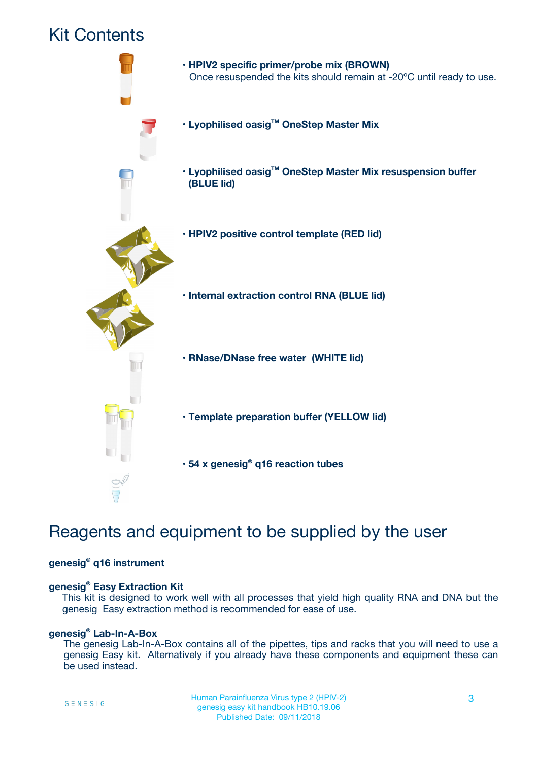### Kit Contents



## Reagents and equipment to be supplied by the user

#### **genesig® q16 instrument**

#### **genesig® Easy Extraction Kit**

This kit is designed to work well with all processes that yield high quality RNA and DNA but the genesig Easy extraction method is recommended for ease of use.

#### **genesig® Lab-In-A-Box**

The genesig Lab-In-A-Box contains all of the pipettes, tips and racks that you will need to use a genesig Easy kit. Alternatively if you already have these components and equipment these can be used instead.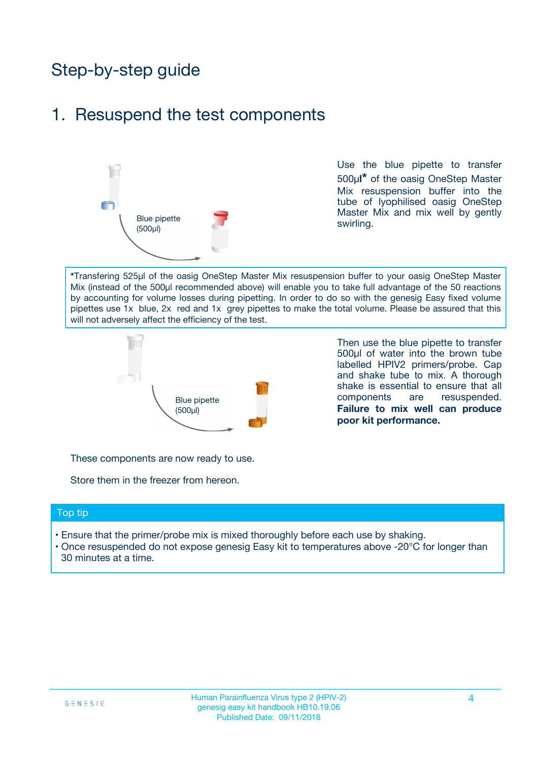## Step-by-step guide

### 1. Resuspend the test components



Use the blue pipette to transfer 500µ**l\*** of the oasig OneStep Master Mix resuspension buffer into the tube of lyophilised oasig OneStep Master Mix and mix well by gently swirling.

**\***Transfering 525µl of the oasig OneStep Master Mix resuspension buffer to your oasig OneStep Master Mix (instead of the 500µl recommended above) will enable you to take full advantage of the 50 reactions by accounting for volume losses during pipetting. In order to do so with the genesig Easy fixed volume pipettes use 1x blue, 2x red and 1x grey pipettes to make the total volume. Please be assured that this will not adversely affect the efficiency of the test.



Then use the blue pipette to transfer 500µl of water into the brown tube labelled HPIV2 primers/probe. Cap and shake tube to mix. A thorough shake is essential to ensure that all components are resuspended. **Failure to mix well can produce poor kit performance.**

These components are now ready to use.

Store them in the freezer from hereon.

#### Top tip

- Ensure that the primer/probe mix is mixed thoroughly before each use by shaking.
- Once resuspended do not expose genesig Easy kit to temperatures above -20°C for longer than 30 minutes at a time.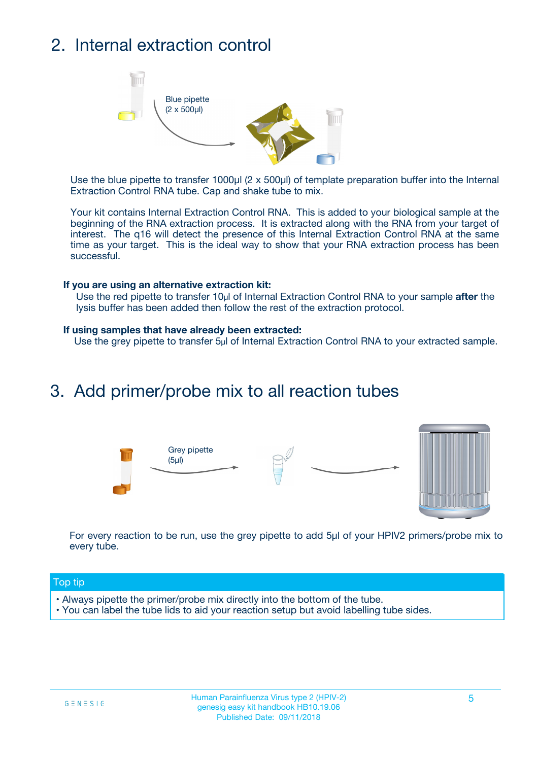## 2. Internal extraction control



Use the blue pipette to transfer 1000µl (2 x 500µl) of template preparation buffer into the Internal Extraction Control RNA tube. Cap and shake tube to mix.

Your kit contains Internal Extraction Control RNA. This is added to your biological sample at the beginning of the RNA extraction process. It is extracted along with the RNA from your target of interest. The q16 will detect the presence of this Internal Extraction Control RNA at the same time as your target. This is the ideal way to show that your RNA extraction process has been successful.

#### **If you are using an alternative extraction kit:**

Use the red pipette to transfer 10µl of Internal Extraction Control RNA to your sample **after** the lysis buffer has been added then follow the rest of the extraction protocol.

#### **If using samples that have already been extracted:**

Use the grey pipette to transfer 5µl of Internal Extraction Control RNA to your extracted sample.

### 3. Add primer/probe mix to all reaction tubes





For every reaction to be run, use the grey pipette to add 5µl of your HPIV2 primers/probe mix to every tube.

#### Top tip

- Always pipette the primer/probe mix directly into the bottom of the tube.
- You can label the tube lids to aid your reaction setup but avoid labelling tube sides.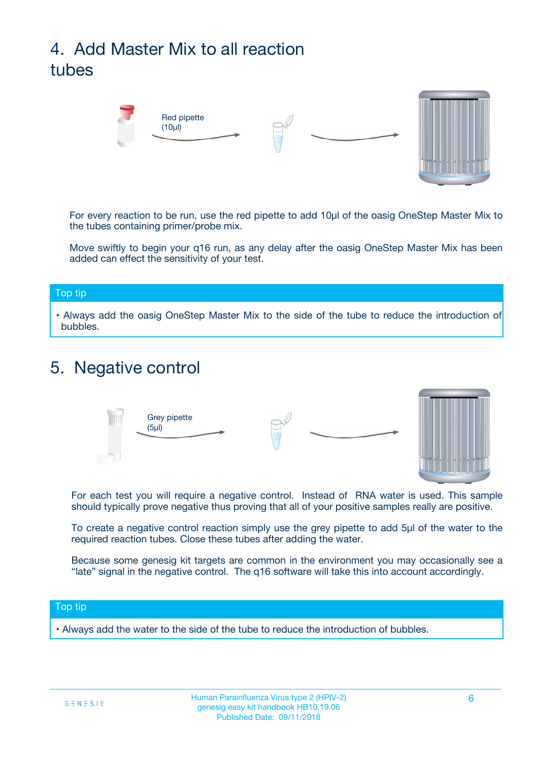## 4. Add Master Mix to all reaction tubes



For every reaction to be run, use the red pipette to add 10µl of the oasig OneStep Master Mix to the tubes containing primer/probe mix.

Move swiftly to begin your q16 run, as any delay after the oasig OneStep Master Mix has been added can effect the sensitivity of your test.

#### Top tip

**•** Always add the oasig OneStep Master Mix to the side of the tube to reduce the introduction of bubbles.

### 5. Negative control



For each test you will require a negative control. Instead of RNA water is used. This sample should typically prove negative thus proving that all of your positive samples really are positive.

To create a negative control reaction simply use the grey pipette to add 5µl of the water to the required reaction tubes. Close these tubes after adding the water.

Because some genesig kit targets are common in the environment you may occasionally see a "late" signal in the negative control. The q16 software will take this into account accordingly.

#### Top tip

**•** Always add the water to the side of the tube to reduce the introduction of bubbles.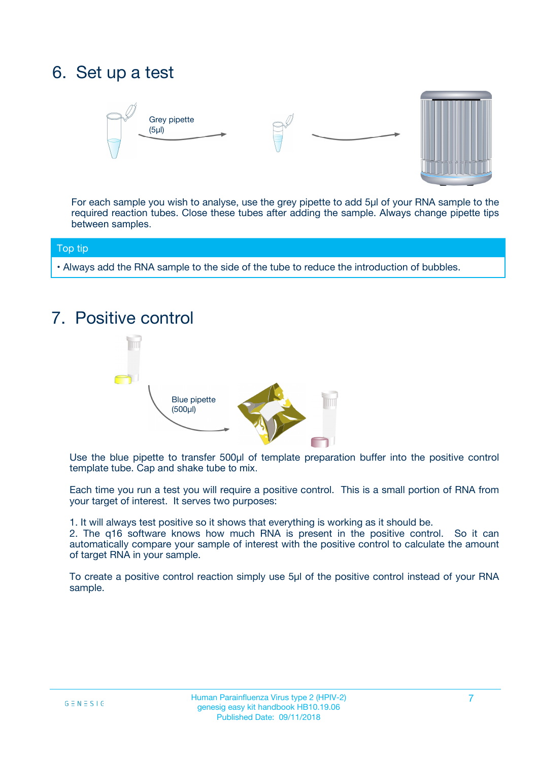## 6. Set up a test





For each sample you wish to analyse, use the grey pipette to add 5µl of your RNA sample to the required reaction tubes. Close these tubes after adding the sample. Always change pipette tips between samples.

#### Top tip

**•** Always add the RNA sample to the side of the tube to reduce the introduction of bubbles.

## 7. Positive control



Use the blue pipette to transfer 500µl of template preparation buffer into the positive control template tube. Cap and shake tube to mix.

Each time you run a test you will require a positive control. This is a small portion of RNA from your target of interest. It serves two purposes:

1. It will always test positive so it shows that everything is working as it should be.

2. The q16 software knows how much RNA is present in the positive control. So it can automatically compare your sample of interest with the positive control to calculate the amount of target RNA in your sample.

To create a positive control reaction simply use 5µl of the positive control instead of your RNA sample.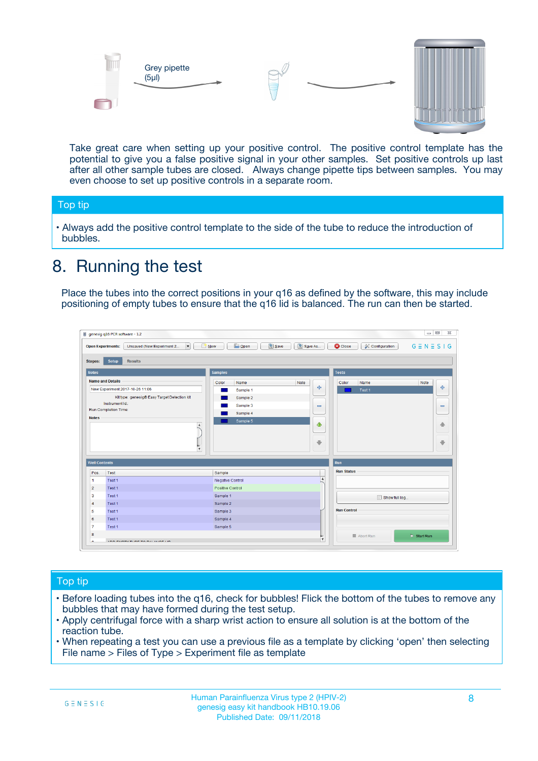



Take great care when setting up your positive control. The positive control template has the potential to give you a false positive signal in your other samples. Set positive controls up last after all other sample tubes are closed. Always change pipette tips between samples. You may even choose to set up positive controls in a separate room.

#### Top tip

**•** Always add the positive control template to the side of the tube to reduce the introduction of bubbles.

## 8. Running the test

Place the tubes into the correct positions in your q16 as defined by the software, this may include positioning of empty tubes to ensure that the q16 lid is balanced. The run can then be started.

|                      | genesig q16 PCR software - 1.2                                                    |                                            |                         |                                 | $= 0$<br>$\Sigma\!3$         |
|----------------------|-----------------------------------------------------------------------------------|--------------------------------------------|-------------------------|---------------------------------|------------------------------|
|                      | Unsaved (New Experiment 2<br>$\overline{\phantom{a}}$<br><b>Open Experiments:</b> | <b>E</b> Open<br><b>Save</b><br>$\Box$ New | Save As                 | <b>C</b> Close<br>Configuration | $G \equiv N \equiv S \mid G$ |
| <b>Stages:</b>       | Setup<br><b>Results</b>                                                           |                                            |                         |                                 |                              |
| <b>Notes</b>         |                                                                                   | <b>Samples</b>                             |                         | <b>Tests</b>                    |                              |
|                      | <b>Name and Details</b>                                                           | Color<br>Name                              | Note                    | Color<br>Name                   | Note                         |
|                      | New Experiment 2017-10-26 11:06                                                   | Sample 1                                   | 4                       | Test 1                          | 4                            |
|                      | Kit type: genesig® Easy Target Detection kit                                      | Sample 2                                   |                         |                                 |                              |
|                      | Instrument Id.:                                                                   | Sample 3                                   | $\equiv$                |                                 | $\equiv$                     |
|                      | <b>Run Completion Time:</b>                                                       | Sample 4                                   |                         |                                 |                              |
| <b>Notes</b>         | $\blacktriangle$                                                                  | Sample 5                                   | ♦                       |                                 | 傦                            |
|                      | $\overline{\mathbf{v}}$                                                           |                                            | ÷                       |                                 | ⊕                            |
| <b>Well Contents</b> |                                                                                   |                                            |                         | Run                             |                              |
| Pos.                 | Test                                                                              | Sample                                     |                         | <b>Run Status</b>               |                              |
| $\blacktriangleleft$ | Test 1                                                                            | Negative Control                           | $\blacktriangle$        |                                 |                              |
| $\overline{2}$       | Test 1                                                                            | Positive Control                           |                         |                                 |                              |
| 3                    | Test 1                                                                            | Sample 1                                   |                         | Show full log                   |                              |
| $\overline{4}$       | Test 1                                                                            | Sample 2                                   |                         |                                 |                              |
| 5                    | Test 1                                                                            | Sample 3                                   |                         | <b>Run Control</b>              |                              |
| 6                    | Test 1                                                                            | Sample 4                                   |                         |                                 |                              |
| $\overline{7}$       | Test 1                                                                            | Sample 5                                   |                         |                                 |                              |
| 8                    |                                                                                   |                                            |                         | Abort Run                       | $\triangleright$ Start Run   |
| Lo.                  | <b>INN FURTY TURE TO BUILDING UP.</b>                                             |                                            | $\overline{\mathbf{v}}$ |                                 |                              |

#### Top tip

- Before loading tubes into the q16, check for bubbles! Flick the bottom of the tubes to remove any bubbles that may have formed during the test setup.
- Apply centrifugal force with a sharp wrist action to ensure all solution is at the bottom of the reaction tube.
- When repeating a test you can use a previous file as a template by clicking 'open' then selecting File name > Files of Type > Experiment file as template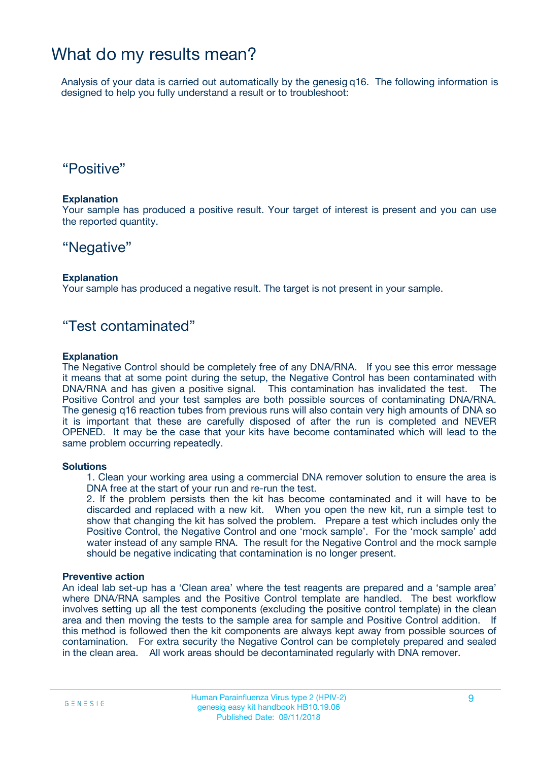### What do my results mean?

Analysis of your data is carried out automatically by the genesig q16. The following information is designed to help you fully understand a result or to troubleshoot:

### "Positive"

#### **Explanation**

Your sample has produced a positive result. Your target of interest is present and you can use the reported quantity.

### "Negative"

#### **Explanation**

Your sample has produced a negative result. The target is not present in your sample.

### "Test contaminated"

#### **Explanation**

The Negative Control should be completely free of any DNA/RNA. If you see this error message it means that at some point during the setup, the Negative Control has been contaminated with DNA/RNA and has given a positive signal. This contamination has invalidated the test. The Positive Control and your test samples are both possible sources of contaminating DNA/RNA. The genesig q16 reaction tubes from previous runs will also contain very high amounts of DNA so it is important that these are carefully disposed of after the run is completed and NEVER OPENED. It may be the case that your kits have become contaminated which will lead to the same problem occurring repeatedly.

#### **Solutions**

1. Clean your working area using a commercial DNA remover solution to ensure the area is DNA free at the start of your run and re-run the test.

2. If the problem persists then the kit has become contaminated and it will have to be discarded and replaced with a new kit. When you open the new kit, run a simple test to show that changing the kit has solved the problem. Prepare a test which includes only the Positive Control, the Negative Control and one 'mock sample'. For the 'mock sample' add water instead of any sample RNA. The result for the Negative Control and the mock sample should be negative indicating that contamination is no longer present.

#### **Preventive action**

An ideal lab set-up has a 'Clean area' where the test reagents are prepared and a 'sample area' where DNA/RNA samples and the Positive Control template are handled. The best workflow involves setting up all the test components (excluding the positive control template) in the clean area and then moving the tests to the sample area for sample and Positive Control addition. If this method is followed then the kit components are always kept away from possible sources of contamination. For extra security the Negative Control can be completely prepared and sealed in the clean area. All work areas should be decontaminated regularly with DNA remover.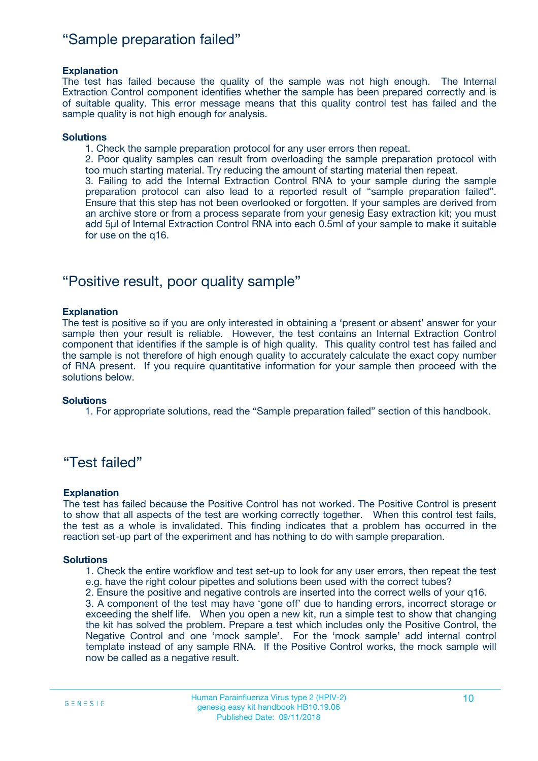### "Sample preparation failed"

#### **Explanation**

The test has failed because the quality of the sample was not high enough. The Internal Extraction Control component identifies whether the sample has been prepared correctly and is of suitable quality. This error message means that this quality control test has failed and the sample quality is not high enough for analysis.

#### **Solutions**

1. Check the sample preparation protocol for any user errors then repeat.

2. Poor quality samples can result from overloading the sample preparation protocol with too much starting material. Try reducing the amount of starting material then repeat.

3. Failing to add the Internal Extraction Control RNA to your sample during the sample preparation protocol can also lead to a reported result of "sample preparation failed". Ensure that this step has not been overlooked or forgotten. If your samples are derived from an archive store or from a process separate from your genesig Easy extraction kit; you must add 5µl of Internal Extraction Control RNA into each 0.5ml of your sample to make it suitable for use on the q16.

### "Positive result, poor quality sample"

#### **Explanation**

The test is positive so if you are only interested in obtaining a 'present or absent' answer for your sample then your result is reliable. However, the test contains an Internal Extraction Control component that identifies if the sample is of high quality. This quality control test has failed and the sample is not therefore of high enough quality to accurately calculate the exact copy number of RNA present. If you require quantitative information for your sample then proceed with the solutions below.

#### **Solutions**

1. For appropriate solutions, read the "Sample preparation failed" section of this handbook.

### "Test failed"

#### **Explanation**

The test has failed because the Positive Control has not worked. The Positive Control is present to show that all aspects of the test are working correctly together. When this control test fails, the test as a whole is invalidated. This finding indicates that a problem has occurred in the reaction set-up part of the experiment and has nothing to do with sample preparation.

#### **Solutions**

1. Check the entire workflow and test set-up to look for any user errors, then repeat the test e.g. have the right colour pipettes and solutions been used with the correct tubes?

2. Ensure the positive and negative controls are inserted into the correct wells of your q16.

3. A component of the test may have 'gone off' due to handing errors, incorrect storage or exceeding the shelf life. When you open a new kit, run a simple test to show that changing the kit has solved the problem. Prepare a test which includes only the Positive Control, the Negative Control and one 'mock sample'. For the 'mock sample' add internal control template instead of any sample RNA. If the Positive Control works, the mock sample will now be called as a negative result.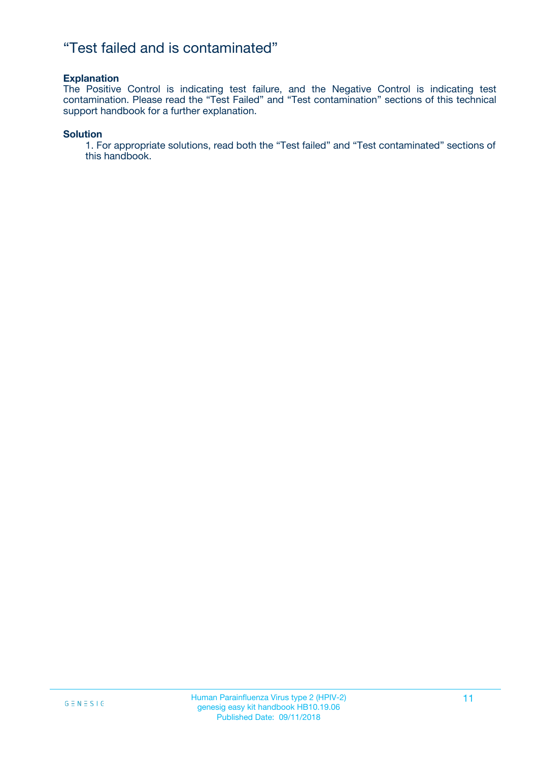### "Test failed and is contaminated"

#### **Explanation**

The Positive Control is indicating test failure, and the Negative Control is indicating test contamination. Please read the "Test Failed" and "Test contamination" sections of this technical support handbook for a further explanation.

#### **Solution**

1. For appropriate solutions, read both the "Test failed" and "Test contaminated" sections of this handbook.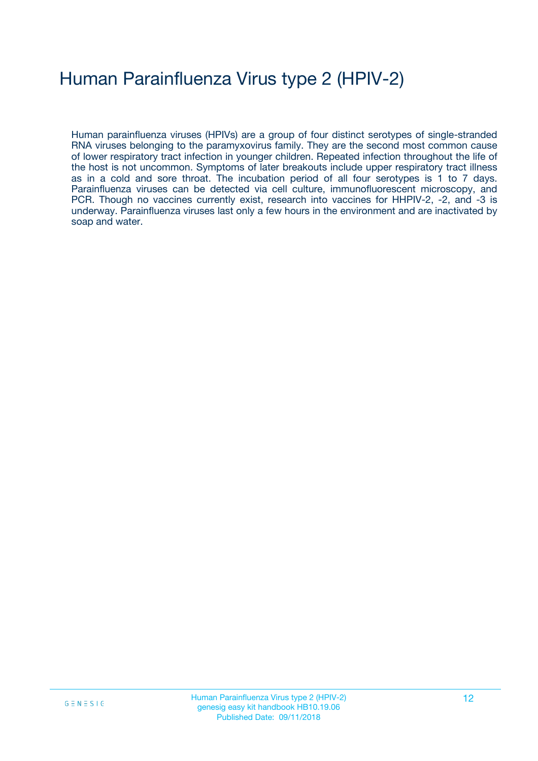## Human Parainfluenza Virus type 2 (HPIV-2)

Human parainfluenza viruses (HPIVs) are a group of four distinct serotypes of single-stranded RNA viruses belonging to the paramyxovirus family. They are the second most common cause of lower respiratory tract infection in younger children. Repeated infection throughout the life of the host is not uncommon. Symptoms of later breakouts include upper respiratory tract illness as in a cold and sore throat. The incubation period of all four serotypes is 1 to 7 days. Parainfluenza viruses can be detected via cell culture, immunofluorescent microscopy, and PCR. Though no vaccines currently exist, research into vaccines for HHPIV-2, -2, and -3 is underway. Parainfluenza viruses last only a few hours in the environment and are inactivated by soap and water.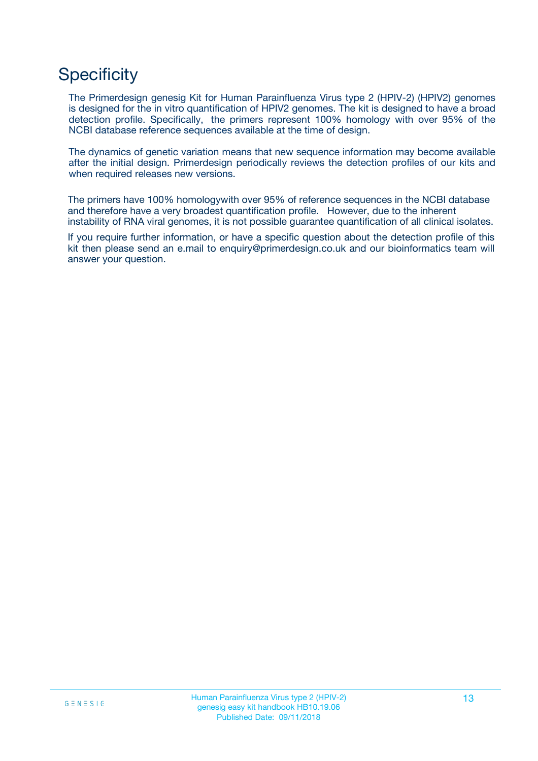## **Specificity**

The Primerdesign genesig Kit for Human Parainfluenza Virus type 2 (HPIV-2) (HPIV2) genomes is designed for the in vitro quantification of HPIV2 genomes. The kit is designed to have a broad detection profile. Specifically, the primers represent 100% homology with over 95% of the NCBI database reference sequences available at the time of design.

The dynamics of genetic variation means that new sequence information may become available after the initial design. Primerdesign periodically reviews the detection profiles of our kits and when required releases new versions.

The primers have 100% homologywith over 95% of reference sequences in the NCBI database and therefore have a very broadest quantification profile. However, due to the inherent instability of RNA viral genomes, it is not possible guarantee quantification of all clinical isolates.

If you require further information, or have a specific question about the detection profile of this kit then please send an e.mail to enquiry@primerdesign.co.uk and our bioinformatics team will answer your question.